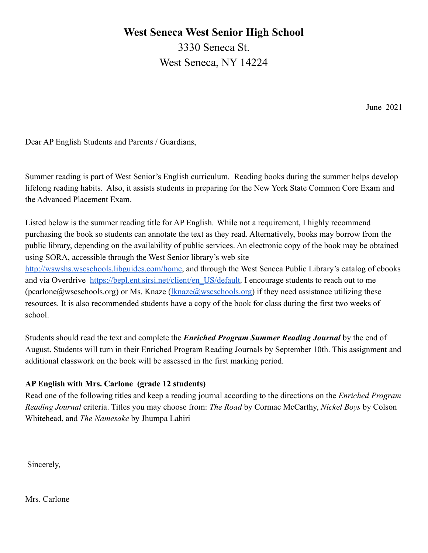## **West Seneca West Senior High School**

3330 Seneca St. West Seneca, NY 14224

June 2021

Dear AP English Students and Parents / Guardians,

Summer reading is part of West Senior's English curriculum. Reading books during the summer helps develop lifelong reading habits. Also, it assists students in preparing for the New York State Common Core Exam and the Advanced Placement Exam.

Listed below is the summer reading title for AP English. While not a requirement, I highly recommend purchasing the book so students can annotate the text as they read. Alternatively, books may borrow from the public library, depending on the availability of public services. An electronic copy of the book may be obtained using SORA, accessible through the West Senior library's web site

<http://wswshs.wscschools.libguides.com/home>, and through the West Seneca Public Library's catalog of ebooks and via Overdrive [https://bepl.ent.sirsi.net/client/en\\_US/default.](https://bepl.ent.sirsi.net/client/en_US/default) I encourage students to reach out to me (pcarlone@wscschools.org) or Ms. Knaze ([lknaze@wscschools.org\)](mailto:lknaze@wscschools.org) if they need assistance utilizing these resources. It is also recommended students have a copy of the book for class during the first two weeks of school.

Students should read the text and complete the *Enriched Program Summer Reading Journal* by the end of August. Students will turn in their Enriched Program Reading Journals by September 10th. This assignment and additional classwork on the book will be assessed in the first marking period.

### **AP English with Mrs. Carlone (grade 12 students)**

Read one of the following titles and keep a reading journal according to the directions on the *Enriched Program Reading Journal* criteria. Titles you may choose from: *The Road* by Cormac McCarthy, *Nickel Boys* by Colson Whitehead, and *The Namesake* by Jhumpa Lahiri

Sincerely,

Mrs. Carlone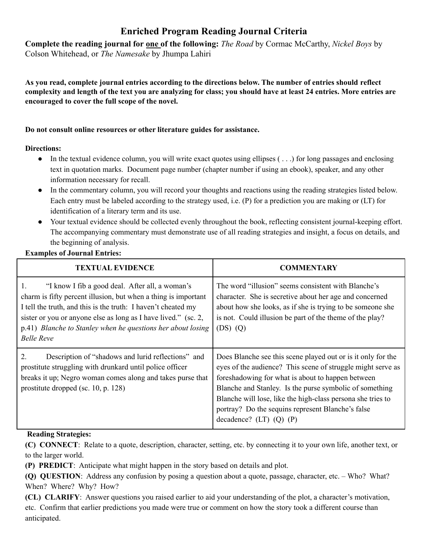# **Enriched Program Reading Journal Criteria**

**Complete the reading journal for one of the following:** *The Road* by Cormac McCarthy, *Nickel Boys* by Colson Whitehead, or *The Namesake* by Jhumpa Lahiri

As you read, complete journal entries according to the directions below. The number of entries should reflect complexity and length of the text you are analyzing for class; you should have at least 24 entries. More entries are **encouraged to cover the full scope of the novel.**

#### **Do not consult online resources or other literature guides for assistance.**

#### **Directions:**

- $\bullet$  In the textual evidence column, you will write exact quotes using ellipses ( $\ldots$ ) for long passages and enclosing text in quotation marks. Document page number (chapter number if using an ebook), speaker, and any other information necessary for recall.
- In the commentary column, you will record your thoughts and reactions using the reading strategies listed below. Each entry must be labeled according to the strategy used, i.e. (P) for a prediction you are making or (LT) for identification of a literary term and its use.
- Your textual evidence should be collected evenly throughout the book, reflecting consistent journal-keeping effort. The accompanying commentary must demonstrate use of all reading strategies and insight, a focus on details, and the beginning of analysis.

#### **Examples of Journal Entries:**

| <b>TEXTUAL EVIDENCE</b>                                                                                                                                                                                                                                                                                                                                    | <b>COMMENTARY</b>                                                                                                                                                                                                                                                                                                                                                                            |
|------------------------------------------------------------------------------------------------------------------------------------------------------------------------------------------------------------------------------------------------------------------------------------------------------------------------------------------------------------|----------------------------------------------------------------------------------------------------------------------------------------------------------------------------------------------------------------------------------------------------------------------------------------------------------------------------------------------------------------------------------------------|
| $\mathbf{1}$ .<br>"I know I fib a good deal. After all, a woman's<br>charm is fifty percent illusion, but when a thing is important<br>I tell the truth, and this is the truth: I haven't cheated my<br>sister or you or anyone else as long as I have lived." (sc. 2,<br>p.41) Blanche to Stanley when he questions her about losing<br><b>Belle Reve</b> | The word "illusion" seems consistent with Blanche's<br>character. She is secretive about her age and concerned<br>about how she looks, as if she is trying to be someone she<br>is not. Could illusion be part of the theme of the play?<br>$(DS)$ $(Q)$                                                                                                                                     |
| 2<br>Description of "shadows and lurid reflections" and<br>prostitute struggling with drunkard until police officer<br>breaks it up; Negro woman comes along and takes purse that<br>prostitute dropped (sc. 10, p. 128)                                                                                                                                   | Does Blanche see this scene played out or is it only for the<br>eyes of the audience? This scene of struggle might serve as<br>foreshadowing for what is about to happen between<br>Blanche and Stanley. Is the purse symbolic of something<br>Blanche will lose, like the high-class persona she tries to<br>portray? Do the sequins represent Blanche's false<br>decadence? $(LT) (Q) (P)$ |

#### **Reading Strategies:**

**(C) CONNECT**: Relate to a quote, description, character, setting, etc. by connecting it to your own life, another text, or to the larger world.

**(P) PREDICT**: Anticipate what might happen in the story based on details and plot.

**(Q) QUESTION**: Address any confusion by posing a question about a quote, passage, character, etc. – Who? What? When? Where? Why? How?

**(CL) CLARIFY**: Answer questions you raised earlier to aid your understanding of the plot, a character's motivation, etc. Confirm that earlier predictions you made were true or comment on how the story took a different course than anticipated.